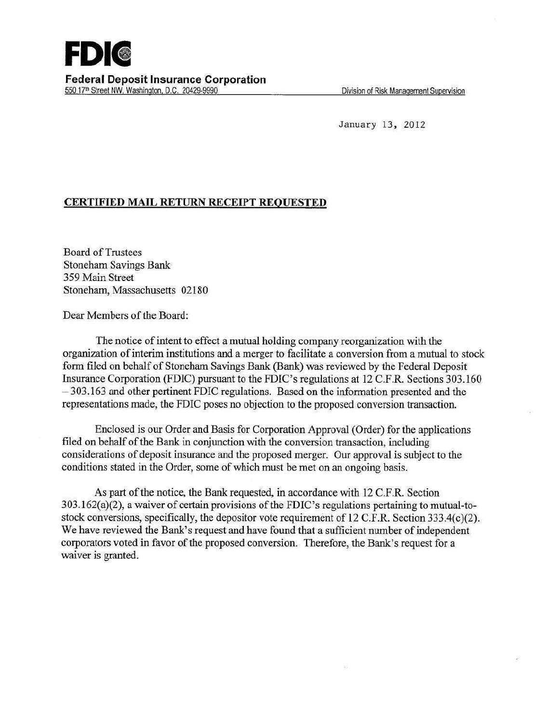January 13, 2012

## **CERTIFIED MAIL RETURN RECEIPT REQUESTED**

Board of Trustees Stoneham Savings Bank 359 Main Street Stoneham, Massachusetts 02180

Dear Members of the Board:

The notice of intent to effect a mutual holding company reorganization with the organization of interim institutions and a merger to facilitate a conversion from a mutual to stock form filed on behalf of Stoneham Savings Bank (Bank) was reviewed by the Federal Deposit Insurance Corporation (FDIC) pursuant to the FDIC's regulations at 12 C.F.R. Sections 303.160 -303.163 and other pertinent FDIC regulations. Based on the information presented and the representations made, the FDIC poses no objection to the proposed conversion transaction.

Enclosed is our Order and Basis for Corporation Approval (Order) for the applications filed on behalf of the Bank in conjunction with the conversion transaction, including considerations of deposit insurance and the proposed merger. Our approval is subject to the conditions stated in the Order, some of which must be met on an ongoing basis.

As part of the notice, the Bank requested, in accordance with 12 C.F.R. Section 303.162(a)(2), a waiver of certain provisions of the FDIC's regulations pertaining to mutual-tostock conversions, specifically, the depositor vote requirement of 12 C.F.R. Section 333.4(c)(2). We have reviewed the Bank's request and have found that a sufficient number of independent corporators voted in favor of the proposed conversion. Therefore, the Bank's request for a waiver is granted.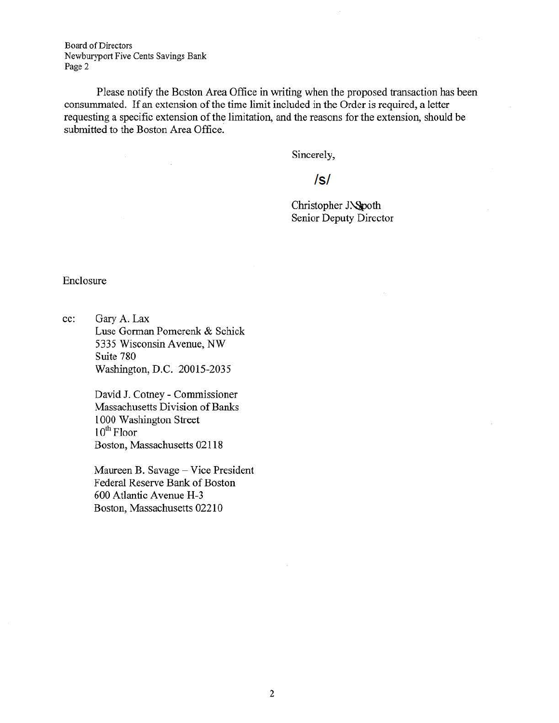Board of Directors Newburyport Five Cents Savings Bank Page 2

 $\Omega$ 

 $\frac{1}{1+\alpha}$ 

Please notify the Boston Area Office in writing when the proposed transaction has been consummated. If an extension of the time limit included in the Order is required, a letter requesting a specific extension of the limitation, and the reasons for the extension, should be submitted to the Boston Area Office.

Sincerely,

## Is/

Christopher J. Spoth Senior Deputy Director

Enclosure

cc: Gary *A.* Lax Luse Gorman Pomerenk & Schick 5335 Wisconsin Avenue, NW Suite 780 Washington, D.C. 20015-2035

> David J. Cotney - Commissioner Massachusetts Division of Banks 1000 Washington Street  $10^{\rm th}$  Floor Boston, Massachusetts 02118

Maureen B. Savage - Vice President Federal Reserve Bank of Boston 600 Atlantic Avenue H-3 Boston, Massachusetts 02210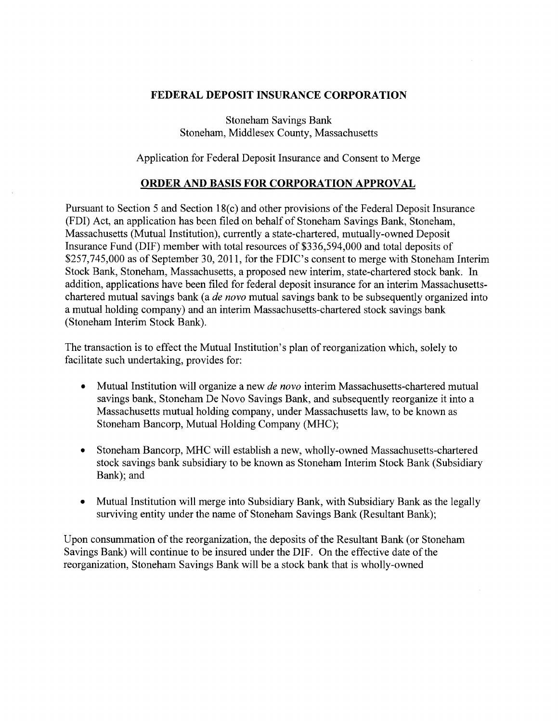## **FEDERAL DEPOSIT INSURANCE CORPORATION**

Stoneham Savings Bank Stoneham, Middlesex County, Massachusetts

Application for Federal Deposit Insurance and Consent to Merge

## **ORDER AND BASIS FOR CORPORATION APPROVAL**

Pursuant to Section 5 and Section 18(c) and other provisions of the Federal Deposit Insurance (FDI) Act, an application has been filed on behalf of Stoneham Savings Bank, Stoneham, Massachusetts (Mutual Institution), currently a state-chartered, mutually-owned Deposit Insurance Fund (DIF) member with total resources of \$336,594,000 and total deposits of \$257,745,000 as of September 30, 2011, for the FDIC's consent to merge with Stoneham Interim Stock Bank, Stoneham, Massachusetts, a proposed new interim, state-chartered stock bank. In addition, applications have been filed for federal deposit insurance for an interim Massachusettschartered mutual savings bank (a *de novo* mutual savings bank to be subsequently organized into a mutual holding company) and an interim Massachusetts-chartered stock savings bank (Stoneham Interim Stock Bank).

The transaction is to effect the Mutual Institution's plan of reorganization which, solely to facilitate such undertaking, provides for:

- Mutual Institution will organize a new *de novo* interim Massachusetts-chartered mutual savings bank, Stoneham De Novo Savings Bank, and subsequently reorganize it into a Massachusetts mutual holding company, under Massachusetts law, to be known as Stoneham Bancorp, Mutual Holding Company (MHC);
- Stoneham Bancorp, MHC will establish a new, wholly-owned Massachusetts-chartered stock savings bank subsidiary to be known as Stoneham Interim Stock Bank (Subsidiary Bank); and
- Mutual Institution will merge into Subsidiary Bank, with Subsidiary Bank as the legally surviving entity under the name of Stoneham Savings Bank (Resultant Bank);

Upon consummation of the reorganization, the deposits of the Resultant Bank (or Stoneham Savings Bank) will continue to be insured under the DIF. On the effective date of the reorganization, Stoneham Savings Bank will be a stock bank that is wholly-owned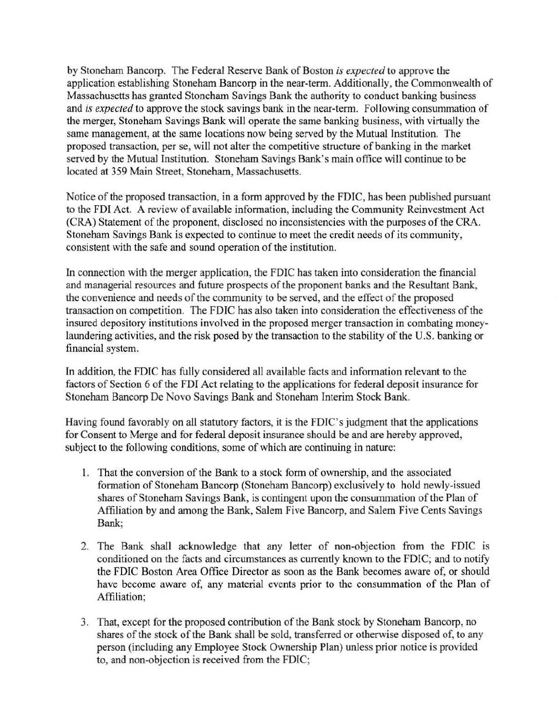by Stoneham Bancorp. The Federal Reserve Bank of Boston *is expected* to approve the application establishing Stoneham Bancorp in the near-term. Additionally, the Commonwealth of Massachusetts has granted Stoneham Savings Bank the authority to conduct banking business and *is expected* to approve the stock savings bank in the near-term. Following consummation of the merger, Stoneham Savings Bank will operate the same banking business, with virtually the same management, at the same locations now being served by the Mutual Institution. The proposed transaction, per se, will not alter the competitive structure of banking in the market served by the Mutual Institution. Stoneham Savings Bank's main office will continue to be located at 359 Main Street, Stoneham, Massachusetts.

Notice of the proposed transaction, in a form approved by the FDIC, bas been published pursuant to the FDI Act. A review of available information, including the Community Reinvestment Act (CRA) Statement of the proponent, disclosed no inconsistencies with the purposes of the CRA. Stoneham Savings Bank is expected to continue to meet the credit needs of its conmmnity, consistent with the safe and sound operation of the institution.

In connection with the merger application, the FDIC has taken into consideration the financial and managerial resources and future prospects of the proponent banks and the Resultant Bank, the convenience and needs of the community to be served, and the effect of the proposed transaction on competition. The FDIC has also taken into consideration the effectiveness of the insured depository institutions involved in the proposed merger transaction in combating moneylaundering activities, and the risk posed by the transaction to the stability of the U.S. banking or financial system.

In addition, the FDIC has fully considered all available facts and information relevant to the factors of Section 6 of the FDI Act relating to the applications for federal deposit insurance for Stoneham Bancorp De Novo Savings Bank and Stoneham Interim Stock Bank.

Having found favorably on all statutory factors, it is the FDIC's judgment that the applications for Consent to Merge and for federal deposit insurance should be and are hereby approved, subject to the following conditions, some of which are continuing in nature:

- I. That the conversion of the Bank to a stock form of ownership, and the associated formation of Stoneham Bancorp (Stoneham Bancorp) exclusively to hold newly-issued shares of Stoneham Savings Bank, is contingent upon the consummation of the Plan of Affiliation by and among the Bank, Salem Five Bancorp, and Salem Five Cents Savings Bank;
- 2. The Bank shall acknowledge that any letter of non-objection from the FDIC is conditioned on the facts and circumstances as currently known to the FDIC; and to notify the FDIC Boston Area Office Director as soon as the Bank becomes aware of, or should have become aware of, any material events prior to the consummation of the Plan of Affiliation;
- 3. That, except for the proposed contribution of the Bank stock by Stoneham Bancorp, no shares of the stock of the Bank shall be sold, transferred or otherwise disposed of, to any person (including any Employee Stock Ownership Plan) unless prior notice is provided to, and non-objection is received from the FDIC;